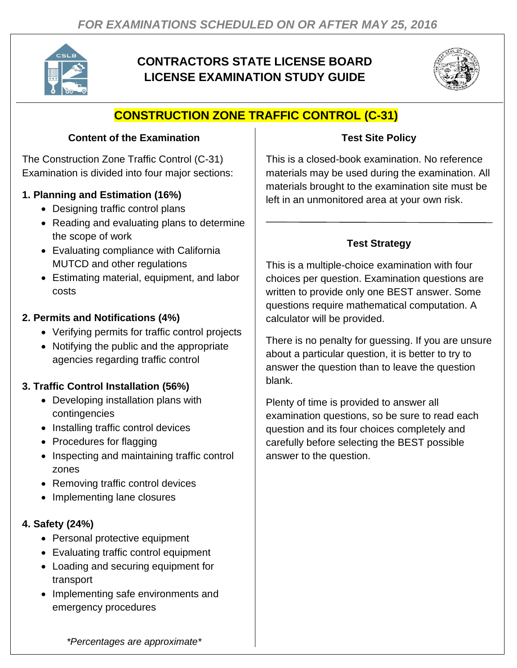

# **CONTRACTORS STATE LICENSE BOARD LICENSE EXAMINATION STUDY GUIDE**



# **CONSTRUCTION ZONE TRAFFIC CONTROL (C-31)**

#### **Content of the Examination**

The Construction Zone Traffic Control (C-31) Examination is divided into four major sections:

#### **1. Planning and Estimation (16%)**

- Designing traffic control plans
- Reading and evaluating plans to determine the scope of work
- Evaluating compliance with California MUTCD and other regulations
- Estimating material, equipment, and labor costs

#### **2. Permits and Notifications (4%)**

- Verifying permits for traffic control projects
- Notifying the public and the appropriate agencies regarding traffic control

### **3. Traffic Control Installation (56%)**

- Developing installation plans with contingencies
- Installing traffic control devices
- Procedures for flagging
- Inspecting and maintaining traffic control zones
- Removing traffic control devices
- Implementing lane closures

#### **4. Safety (24%)**

- Personal protective equipment
- Evaluating traffic control equipment
- Loading and securing equipment for transport
- Implementing safe environments and emergency procedures

#### **Test Site Policy**

This is a closed-book examination. No reference materials may be used during the examination. All materials brought to the examination site must be left in an unmonitored area at your own risk.

### **Test Strategy**

This is a multiple-choice examination with four choices per question. Examination questions are written to provide only one BEST answer. Some questions require mathematical computation. A calculator will be provided.

There is no penalty for guessing. If you are unsure about a particular question, it is better to try to answer the question than to leave the question blank.

Plenty of time is provided to answer all examination questions, so be sure to read each question and its four choices completely and carefully before selecting the BEST possible answer to the question.